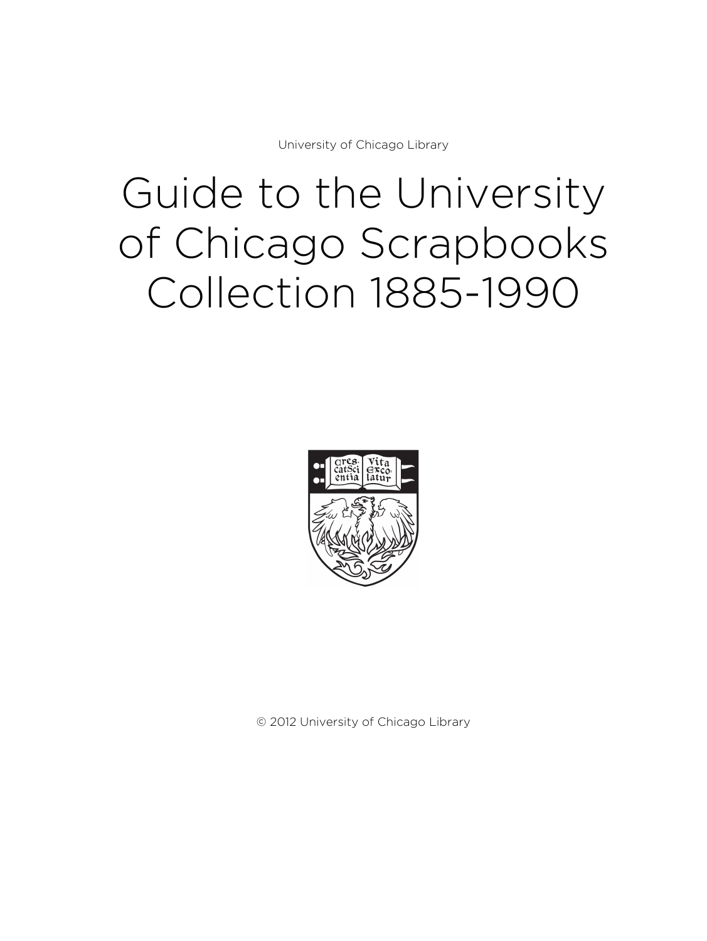University of Chicago Library

# Guide to the University of Chicago Scrapbooks Collection 1885-1990



© 2012 University of Chicago Library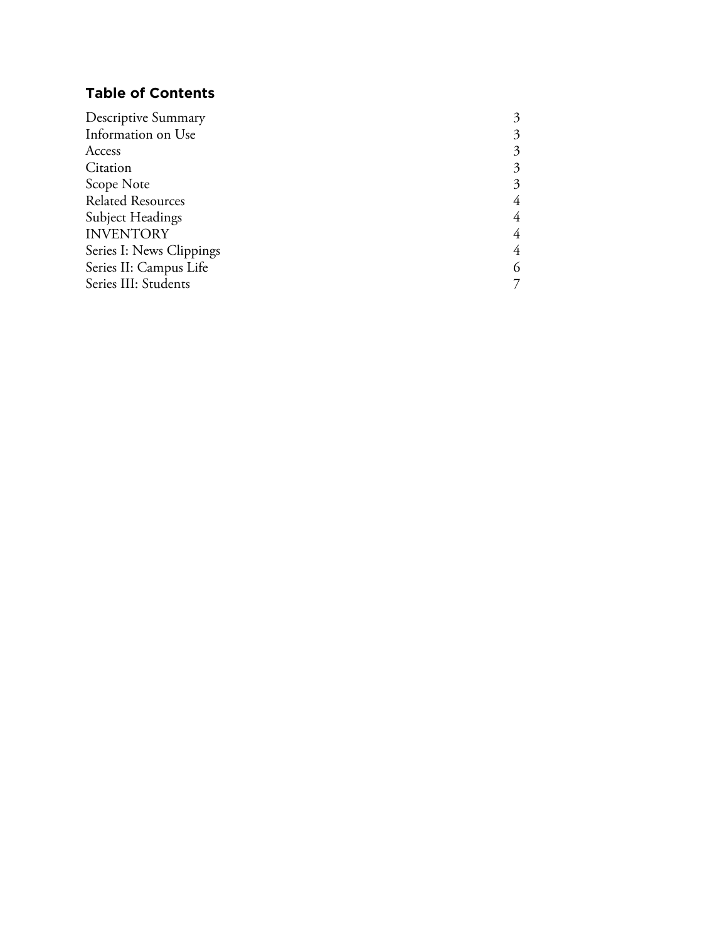# **Table of Contents**

| Information on Use<br>Access<br>Citation<br>Scope Note<br><b>Related Resources</b><br>Subject Headings<br><b>INVENTORY</b> |
|----------------------------------------------------------------------------------------------------------------------------|
|                                                                                                                            |
|                                                                                                                            |
|                                                                                                                            |
|                                                                                                                            |
|                                                                                                                            |
|                                                                                                                            |
|                                                                                                                            |
| Series I: News Clippings<br>4                                                                                              |
| Series II: Campus Life<br>6                                                                                                |
| Series III: Students                                                                                                       |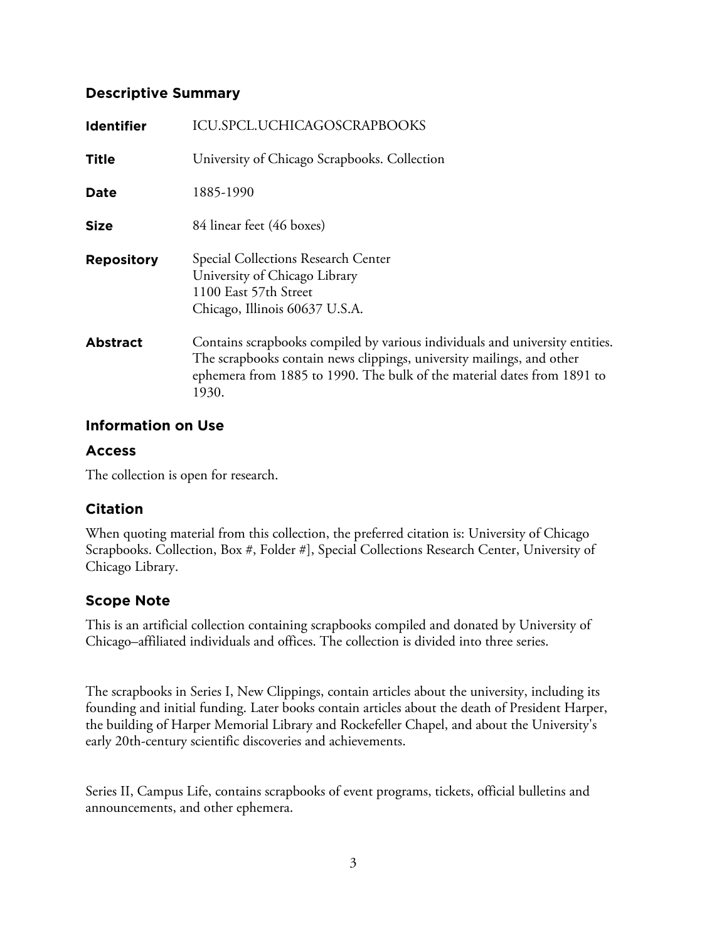## **Descriptive Summary**

| <b>Identifier</b> | ICU.SPCL.UCHICAGOSCRAPBOOKS                                                                                                                                                                                                               |
|-------------------|-------------------------------------------------------------------------------------------------------------------------------------------------------------------------------------------------------------------------------------------|
| <b>Title</b>      | University of Chicago Scrapbooks. Collection                                                                                                                                                                                              |
| <b>Date</b>       | 1885-1990                                                                                                                                                                                                                                 |
| <b>Size</b>       | 84 linear feet (46 boxes)                                                                                                                                                                                                                 |
| <b>Repository</b> | Special Collections Research Center<br>University of Chicago Library<br>1100 East 57th Street<br>Chicago, Illinois 60637 U.S.A.                                                                                                           |
| <b>Abstract</b>   | Contains scrapbooks compiled by various individuals and university entities.<br>The scrapbooks contain news clippings, university mailings, and other<br>ephemera from 1885 to 1990. The bulk of the material dates from 1891 to<br>1930. |

## **Information on Use**

## **Access**

The collection is open for research.

# **Citation**

When quoting material from this collection, the preferred citation is: University of Chicago Scrapbooks. Collection, Box #, Folder #], Special Collections Research Center, University of Chicago Library.

# **Scope Note**

This is an artificial collection containing scrapbooks compiled and donated by University of Chicago–affiliated individuals and offices. The collection is divided into three series.

The scrapbooks in Series I, New Clippings, contain articles about the university, including its founding and initial funding. Later books contain articles about the death of President Harper, the building of Harper Memorial Library and Rockefeller Chapel, and about the University's early 20th-century scientific discoveries and achievements.

Series II, Campus Life, contains scrapbooks of event programs, tickets, official bulletins and announcements, and other ephemera.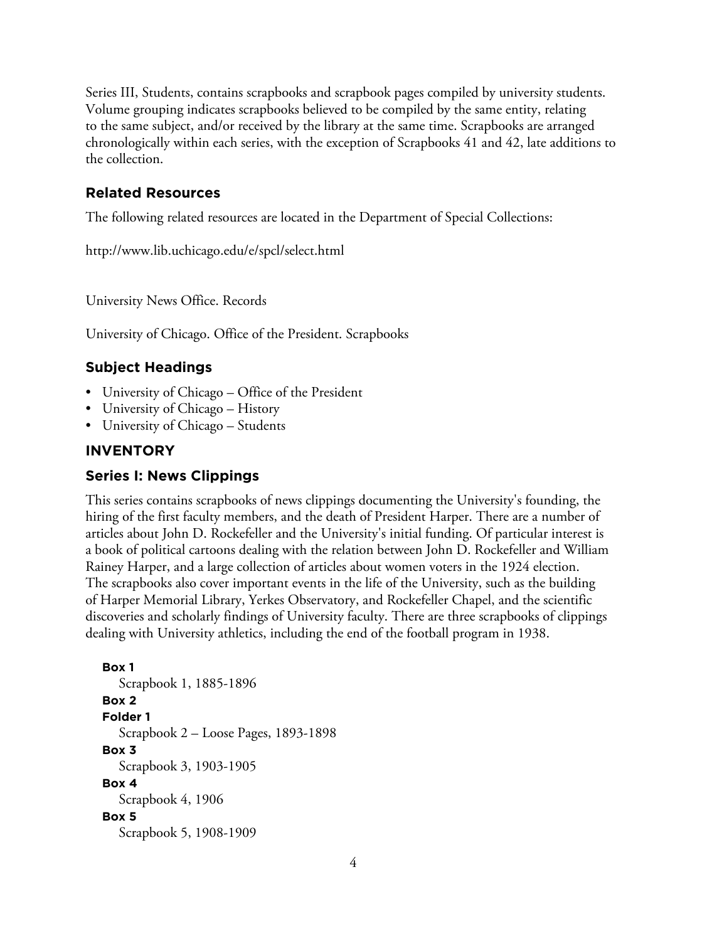Series III, Students, contains scrapbooks and scrapbook pages compiled by university students. Volume grouping indicates scrapbooks believed to be compiled by the same entity, relating to the same subject, and/or received by the library at the same time. Scrapbooks are arranged chronologically within each series, with the exception of Scrapbooks 41 and 42, late additions to the collection.

## **Related Resources**

The following related resources are located in the Department of Special Collections:

http://www.lib.uchicago.edu/e/spcl/select.html

University News Office. Records

University of Chicago. Office of the President. Scrapbooks

#### **Subject Headings**

- University of Chicago Office of the President
- University of Chicago History
- University of Chicago Students

#### **INVENTORY**

#### **Series I: News Clippings**

This series contains scrapbooks of news clippings documenting the University's founding, the hiring of the first faculty members, and the death of President Harper. There are a number of articles about John D. Rockefeller and the University's initial funding. Of particular interest is a book of political cartoons dealing with the relation between John D. Rockefeller and William Rainey Harper, and a large collection of articles about women voters in the 1924 election. The scrapbooks also cover important events in the life of the University, such as the building of Harper Memorial Library, Yerkes Observatory, and Rockefeller Chapel, and the scientific discoveries and scholarly findings of University faculty. There are three scrapbooks of clippings dealing with University athletics, including the end of the football program in 1938.

```
Box 1
  Scrapbook 1, 1885-1896
Box 2
Folder 1
  Scrapbook 2 – Loose Pages, 1893-1898
Box 3
  Scrapbook 3, 1903-1905
Box 4
  Scrapbook 4, 1906
Box 5
  Scrapbook 5, 1908-1909
```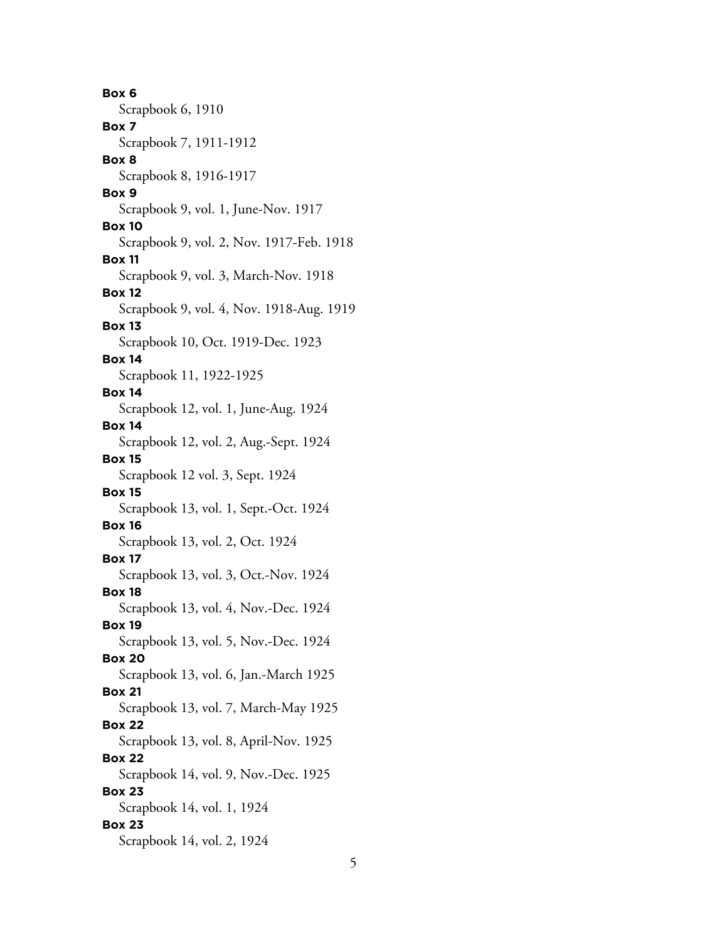**Box 6** Scrapbook 6, 1910 **Box 7** Scrapbook 7, 1911-1912 **Box 8** Scrapbook 8, 1916-1917 **Box 9** Scrapbook 9, vol. 1, June-Nov. 1917 **Box 10** Scrapbook 9, vol. 2, Nov. 1917-Feb. 1918 **Box 11** Scrapbook 9, vol. 3, March-Nov. 1918 **Box 12** Scrapbook 9, vol. 4, Nov. 1918-Aug. 1919 **Box 13** Scrapbook 10, Oct. 1919-Dec. 1923 **Box 14** Scrapbook 11, 1922-1925 **Box 14** Scrapbook 12, vol. 1, June-Aug. 1924 **Box 14** Scrapbook 12, vol. 2, Aug.-Sept. 1924 **Box 15** Scrapbook 12 vol. 3, Sept. 1924 **Box 15** Scrapbook 13, vol. 1, Sept.-Oct. 1924 **Box 16** Scrapbook 13, vol. 2, Oct. 1924 **Box 17** Scrapbook 13, vol. 3, Oct.-Nov. 1924 **Box 18** Scrapbook 13, vol. 4, Nov.-Dec. 1924 **Box 19** Scrapbook 13, vol. 5, Nov.-Dec. 1924 **Box 20** Scrapbook 13, vol. 6, Jan.-March 1925 **Box 21** Scrapbook 13, vol. 7, March-May 1925 **Box 22** Scrapbook 13, vol. 8, April-Nov. 1925 **Box 22** Scrapbook 14, vol. 9, Nov.-Dec. 1925 **Box 23** Scrapbook 14, vol. 1, 1924 **Box 23** Scrapbook 14, vol. 2, 1924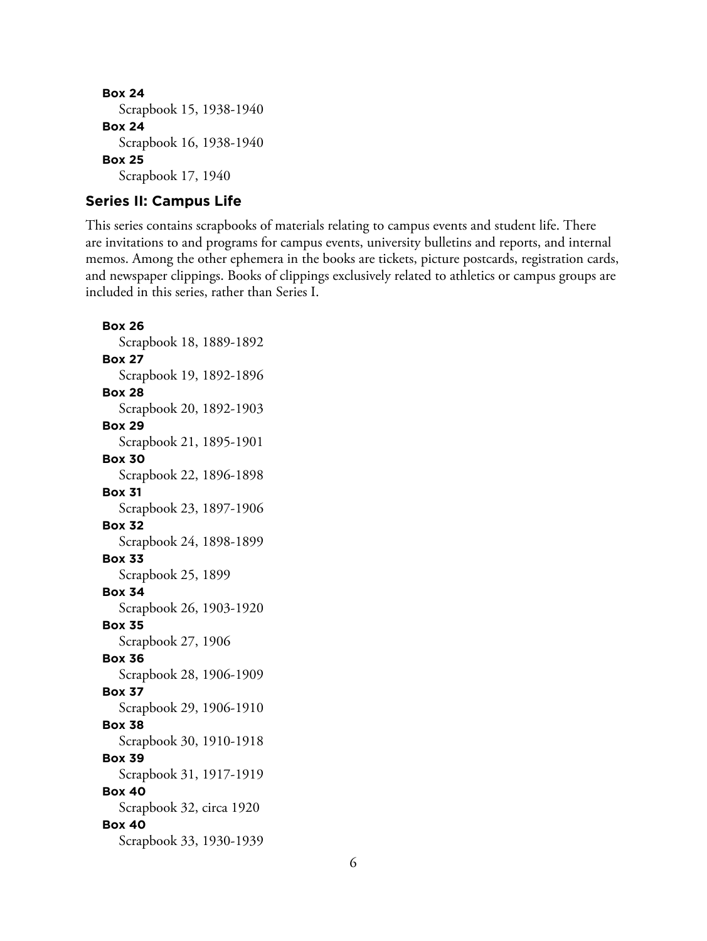```
Box 24
  Scrapbook 15, 1938-1940
Box 24
  Scrapbook 16, 1938-1940
Box 25
  Scrapbook 17, 1940
```
## **Series II: Campus Life**

This series contains scrapbooks of materials relating to campus events and student life. There are invitations to and programs for campus events, university bulletins and reports, and internal memos. Among the other ephemera in the books are tickets, picture postcards, registration cards, and newspaper clippings. Books of clippings exclusively related to athletics or campus groups are included in this series, rather than Series I.

**Box 26** Scrapbook 18, 1889-1892 **Box 27** Scrapbook 19, 1892-1896 **Box 28** Scrapbook 20, 1892-1903 **Box 29** Scrapbook 21, 1895-1901 **Box 30** Scrapbook 22, 1896-1898 **Box 31** Scrapbook 23, 1897-1906 **Box 32** Scrapbook 24, 1898-1899 **Box 33** Scrapbook 25, 1899 **Box 34** Scrapbook 26, 1903-1920 **Box 35** Scrapbook 27, 1906 **Box 36** Scrapbook 28, 1906-1909 **Box 37** Scrapbook 29, 1906-1910 **Box 38** Scrapbook 30, 1910-1918 **Box 39** Scrapbook 31, 1917-1919 **Box 40** Scrapbook 32, circa 1920 **Box 40** Scrapbook 33, 1930-1939